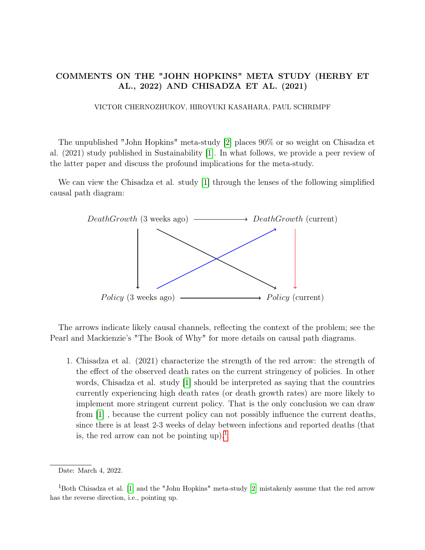# COMMENTS ON THE "JOHN HOPKINS" META STUDY (HERBY ET AL., 2022) AND CHISADZA ET AL. (2021)

## VICTOR CHERNOZHUKOV, HIROYUKI KASAHARA, PAUL SCHRIMPF

The unpublished "John Hopkins" meta-study [\[2\]](#page-2-0) places 90% or so weight on Chisadza et al. (2021) study published in Sustainability [\[1\]](#page-1-0). In what follows, we provide a peer review of the latter paper and discuss the profound implications for the meta-study.

We can view the Chisadza et al. study [\[1\]](#page-1-0) through the lenses of the following simplified causal path diagram:



The arrows indicate likely causal channels, reflecting the context of the problem; see the Pearl and Mackienzie's "The Book of Why" for more details on causal path diagrams.

1. Chisadza et al. (2021) characterize the strength of the red arrow: the strength of the effect of the observed death rates on the current stringency of policies. In other words, Chisadza et al. study [\[1\]](#page-1-0) should be interpreted as saying that the countries currently experiencing high death rates (or death growth rates) are more likely to implement more stringent current policy. That is the only conclusion we can draw from [\[1\]](#page-1-0) , because the current policy can not possibly influence the current deaths, since there is at least 2-3 weeks of delay between infections and reported deaths (that is, the red arrow can not be pointing up).<sup>[1](#page-0-0)</sup>

Date: March 4, 2022.

<span id="page-0-0"></span><sup>1</sup>Both Chisadza et al. [\[1\]](#page-1-0) and the "John Hopkins" meta-study [\[2\]](#page-2-0) mistakenly assume that the red arrow has the reverse direction, i.e., pointing up.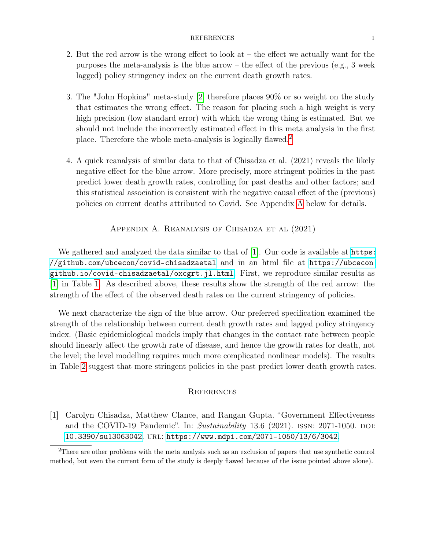#### REFERENCES 1

- 2. But the red arrow is the wrong effect to look at the effect we actually want for the purposes the meta-analysis is the blue arrow – the effect of the previous (e.g., 3 week lagged) policy stringency index on the current death growth rates.
- 3. The "John Hopkins" meta-study [\[2\]](#page-2-0) therefore places 90% or so weight on the study that estimates the wrong effect. The reason for placing such a high weight is very high precision (low standard error) with which the wrong thing is estimated. But we should not include the incorrectly estimated effect in this meta analysis in the first place. Therefore the whole meta-analysis is logically flawed.[2](#page-1-1)
- 4. A quick reanalysis of similar data to that of Chisadza et al. (2021) reveals the likely negative effect for the blue arrow. More precisely, more stringent policies in the past predict lower death growth rates, controlling for past deaths and other factors; and this statistical association is consistent with the negative causal effect of the (previous) policies on current deaths attributed to Covid. See Appendix [A](#page-1-2) below for details.

### Appendix A. Reanalysis of Chisadza et al (2021)

<span id="page-1-2"></span>We gathered and analyzed the data similar to that of [\[1\]](#page-1-0). Our code is available at [https:](https://github.com/ubcecon/covid-chisadzaetal) [//github.com/ubcecon/covid-chisadzaetal](https://github.com/ubcecon/covid-chisadzaetal) and in an html file at [https://ubcecon.](https://ubcecon.github.io/covid-chisadzaetal/oxcgrt.jl.html) [github.io/covid-chisadzaetal/oxcgrt.jl.html](https://ubcecon.github.io/covid-chisadzaetal/oxcgrt.jl.html). First, we reproduce similar results as [\[1\]](#page-1-0) in Table [1.](#page-2-1) As described above, these results show the strength of the red arrow: the strength of the effect of the observed death rates on the current stringency of policies.

We next characterize the sign of the blue arrow. Our preferred specification examined the strength of the relationship between current death growth rates and lagged policy stringency index. (Basic epidemiological models imply that changes in the contact rate between people should linearly affect the growth rate of disease, and hence the growth rates for death, not the level; the level modelling requires much more complicated nonlinear models). The results in Table [2](#page-3-0) suggest that more stringent policies in the past predict lower death growth rates.

### **REFERENCES**

<span id="page-1-0"></span>[1] Carolyn Chisadza, Matthew Clance, and Rangan Gupta. "Government Effectiveness and the COVID-19 Pandemic". In:  $Sustainability$  13.6 (2021). ISSN: 2071-1050. DOI: [10.3390/su13063042](https://doi.org/10.3390/su13063042). url: <https://www.mdpi.com/2071-1050/13/6/3042>.

<span id="page-1-1"></span><sup>&</sup>lt;sup>2</sup>There are other problems with the meta analysis such as an exclusion of papers that use synthetic control method, but even the current form of the study is deeply flawed because of the issue pointed above alone).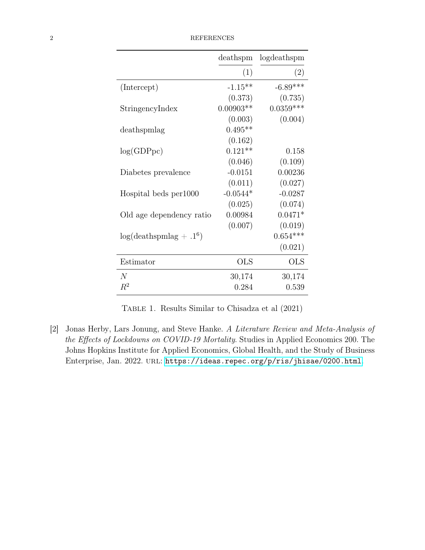<span id="page-2-1"></span>

| <b>REFERENCES</b> |
|-------------------|
|                   |

|                          | deathspm    | logdeathspm |
|--------------------------|-------------|-------------|
|                          | (1)         | (2)         |
| (Intercept)              | $-1.15**$   | $-6.89***$  |
|                          | (0.373)     | (0.735)     |
| StringencyIndex          | $0.00903**$ | $0.0359***$ |
|                          | (0.003)     | (0.004)     |
| deathspmlag              | $0.495**$   |             |
|                          | (0.162)     |             |
| log(GDPpc)               | $0.121**$   | 0.158       |
|                          | (0.046)     | (0.109)     |
| Diabetes prevalence      | $-0.0151$   | 0.00236     |
|                          | (0.011)     | (0.027)     |
| Hospital beds per 1000   | $-0.0544*$  | $-0.0287$   |
|                          | (0.025)     | (0.074)     |
| Old age dependency ratio | 0.00984     | $0.0471*$   |
|                          | (0.007)     | (0.019)     |
| $log(deathspmlag + .16)$ |             | $0.654***$  |
|                          |             | (0.021)     |
| Estimator                | <b>OLS</b>  | <b>OLS</b>  |
| N                        | 30,174      | 30,174      |
| $R^2$                    | 0.284       | 0.539       |

Table 1. Results Similar to Chisadza et al (2021)

<span id="page-2-0"></span>[2] Jonas Herby, Lars Jonung, and Steve Hanke. A Literature Review and Meta-Analysis of the Effects of Lockdowns on COVID-19 Mortality. Studies in Applied Economics 200. The Johns Hopkins Institute for Applied Economics, Global Health, and the Study of Business Enterprise, Jan. 2022. URL: <https://ideas.repec.org/p/ris/jhisae/0200.html>.